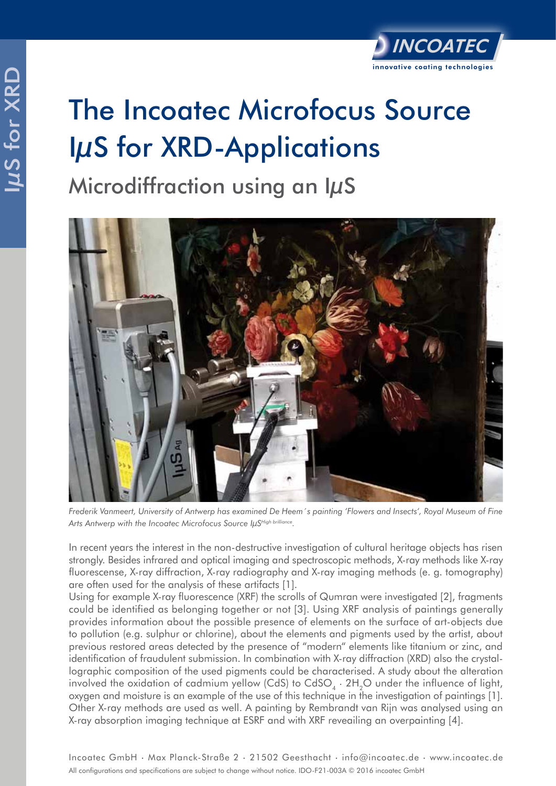## IµS for XRD **US for XRD** The Incoatec Microfocus Source IµS for XRD-Applications

Microdiffraction using an IµS



*Frederik Vanmeert, University of Antwerp has examined De Heem´s painting 'Flowers and Insects', Royal Museum of Fine*  Arts Antwerp with the Incoatec Microfocus Source IµSHigh brilliance.

In recent years the interest in the non-destructive investigation of cultural heritage objects has risen strongly. Besides infrared and optical imaging and spectroscopic methods, X-ray methods like X-ray fluorescense, X-ray diffraction, X-ray radiography and X-ray imaging methods (e. g. tomography) are often used for the analysis of these artifacts [1].

Using for example X-ray fluorescence (XRF) the scrolls of Qumran were investigated [2], fragments could be identified as belonging together or not [3]. Using XRF analysis of paintings generally provides information about the possible presence of elements on the surface of art-objects due to pollution (e.g. sulphur or chlorine), about the elements and pigments used by the artist, about previous restored areas detected by the presence of "modern" elements like titanium or zinc, and identification of fraudulent submission. In combination with X-ray diffraction (XRD) also the crystallographic composition of the used pigments could be characterised. A study about the alteration involved the oxidation of cadmium yellow (CdS) to CdSO<sub>4</sub>  $\cdot$  2H<sub>2</sub>O under the influence of light, oxygen and moisture is an example of the use of this technique in the investigation of paintings [1]. Other X-ray methods are used as well. A painting by Rembrandt van Rijn was analysed using an X-ray absorption imaging technique at ESRF and with XRF reveailing an overpainting [4].